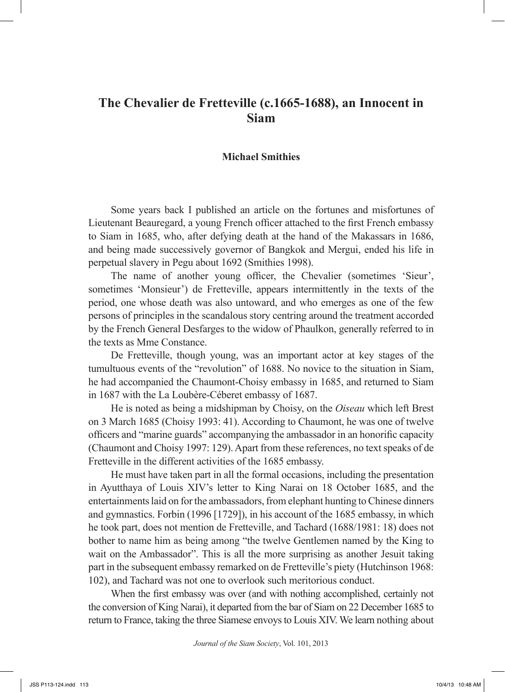## **The Chevalier de Fretteville (c.1665-1688), an Innocent in Siam**

## **Michael Smithies**

Some years back I published an article on the fortunes and misfortunes of Lieutenant Beauregard, a young French officer attached to the first French embassy to Siam in 1685, who, after defying death at the hand of the Makassars in 1686, and being made successively governor of Bangkok and Mergui, ended his life in perpetual slavery in Pegu about 1692 (Smithies 1998).

The name of another young officer, the Chevalier (sometimes 'Sieur', sometimes 'Monsieur') de Fretteville, appears intermittently in the texts of the period, one whose death was also untoward, and who emerges as one of the few persons of principles in the scandalous story centring around the treatment accorded by the French General Desfarges to the widow of Phaulkon, generally referred to in the texts as Mme Constance.

De Fretteville, though young, was an important actor at key stages of the tumultuous events of the "revolution" of 1688. No novice to the situation in Siam, he had accompanied the Chaumont-Choisy embassy in 1685, and returned to Siam in 1687 with the La Loubère-Céberet embassy of 1687.

He is noted as being a midshipman by Choisy, on the *Oiseau* which left Brest on 3 March 1685 (Choisy 1993: 41). According to Chaumont, he was one of twelve officers and "marine guards" accompanying the ambassador in an honorific capacity (Chaumont and Choisy 1997: 129). Apart from these references, no text speaks of de Fretteville in the different activities of the 1685 embassy.

He must have taken part in all the formal occasions, including the presentation in Ayutthaya of Louis XIV's letter to King Narai on 18 October 1685, and the entertainments laid on for the ambassadors, from elephant hunting to Chinese dinners and gymnastics. Forbin (1996 [1729]), in his account of the 1685 embassy, in which he took part, does not mention de Fretteville, and Tachard (1688/1981: 18) does not bother to name him as being among "the twelve Gentlemen named by the King to wait on the Ambassador". This is all the more surprising as another Jesuit taking part in the subsequent embassy remarked on de Fretteville's piety (Hutchinson 1968: 102), and Tachard was not one to overlook such meritorious conduct.

When the first embassy was over (and with nothing accomplished, certainly not the conversion of King Narai), it departed from the bar of Siam on 22 December 1685 to return to France, taking the three Siamese envoys to Louis XIV. We learn nothing about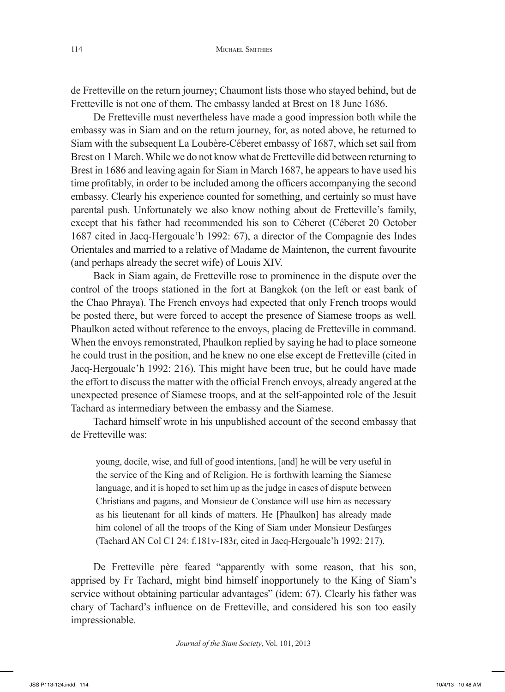de Fretteville on the return journey; Chaumont lists those who stayed behind, but de Fretteville is not one of them. The embassy landed at Brest on 18 June 1686.

De Fretteville must nevertheless have made a good impression both while the embassy was in Siam and on the return journey, for, as noted above, he returned to Siam with the subsequent La Loubère-Céberet embassy of 1687, which set sail from Brest on 1 March. While we do not know what de Fretteville did between returning to Brest in 1686 and leaving again for Siam in March 1687, he appears to have used his time profitably, in order to be included among the officers accompanying the second embassy. Clearly his experience counted for something, and certainly so must have parental push. Unfortunately we also know nothing about de Fretteville's family, except that his father had recommended his son to Céberet (Céberet 20 October 1687 cited in Jacq-Hergoualc'h 1992: 67), a director of the Compagnie des Indes Orientales and married to a relative of Madame de Maintenon, the current favourite (and perhaps already the secret wife) of Louis XIV.

Back in Siam again, de Fretteville rose to prominence in the dispute over the control of the troops stationed in the fort at Bangkok (on the left or east bank of the Chao Phraya). The French envoys had expected that only French troops would be posted there, but were forced to accept the presence of Siamese troops as well. Phaulkon acted without reference to the envoys, placing de Fretteville in command. When the envoys remonstrated, Phaulkon replied by saying he had to place someone he could trust in the position, and he knew no one else except de Fretteville (cited in Jacq-Hergoualc'h 1992: 216). This might have been true, but he could have made the effort to discuss the matter with the official French envoys, already angered at the unexpected presence of Siamese troops, and at the self-appointed role of the Jesuit Tachard as intermediary between the embassy and the Siamese.

Tachard himself wrote in his unpublished account of the second embassy that de Fretteville was:

young, docile, wise, and full of good intentions, [and] he will be very useful in the service of the King and of Religion. He is forthwith learning the Siamese language, and it is hoped to set him up as the judge in cases of dispute between Christians and pagans, and Monsieur de Constance will use him as necessary as his lieutenant for all kinds of matters. He [Phaulkon] has already made him colonel of all the troops of the King of Siam under Monsieur Desfarges (Tachard AN Col C1 24: f.181v-183r, cited in Jacq-Hergoualc'h 1992: 217).

De Fretteville père feared "apparently with some reason, that his son, apprised by Fr Tachard, might bind himself inopportunely to the King of Siam's service without obtaining particular advantages" (idem: 67). Clearly his father was chary of Tachard's influence on de Fretteville, and considered his son too easily impressionable.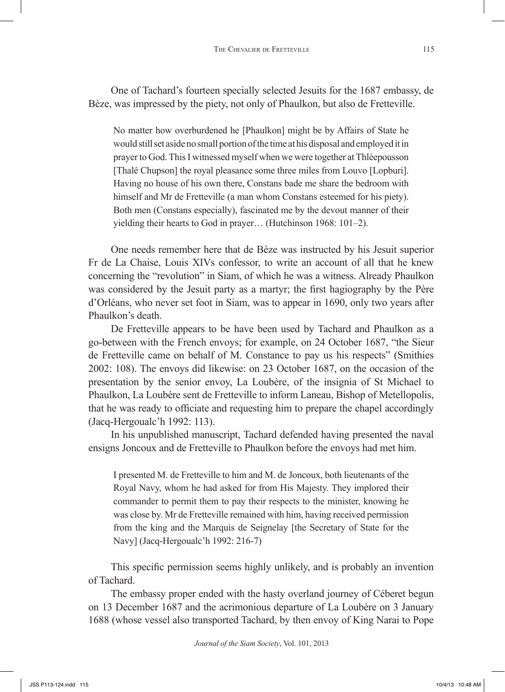One of Tachard's fourteen specially selected Jesuits for the 1687 embassy, de Bèze, was impressed by the piety, not only of Phaulkon, but also de Fretteville.

No matter how overburdened he [Phaulkon] might be by Affairs of State he would still set aside no small portion of the time at his disposal and employed it in prayer to God. This I witnessed myself when we were together at Thléepousson [Thalé Chupson] the royal pleasance some three miles from Louvo [Lopburi]. Having no house of his own there, Constans bade me share the bedroom with himself and Mr de Fretteville (a man whom Constans esteemed for his piety). Both men (Constans especially), fascinated me by the devout manner of their yielding their hearts to God in prayer… (Hutchinson 1968: 101–2).

One needs remember here that de Bèze was instructed by his Jesuit superior Fr de La Chaise, Louis XIVs confessor, to write an account of all that he knew concerning the "revolution" in Siam, of which he was a witness. Already Phaulkon was considered by the Jesuit party as a martyr; the first hagiography by the Père d'Orléans, who never set foot in Siam, was to appear in 1690, only two years after Phaulkon's death.

De Fretteville appears to be have been used by Tachard and Phaulkon as a go-between with the French envoys; for example, on 24 October 1687, "the Sieur de Fretteville came on behalf of M. Constance to pay us his respects" (Smithies 2002: 108). The envoys did likewise: on 23 October 1687, on the occasion of the presentation by the senior envoy, La Loubère, of the insignia of St Michael to Phaulkon, La Loubère sent de Fretteville to inform Laneau, Bishop of Metellopolis, that he was ready to officiate and requesting him to prepare the chapel accordingly (Jacq-Hergoualc'h 1992: 113).

In his unpublished manuscript, Tachard defended having presented the naval ensigns Joncoux and de Fretteville to Phaulkon before the envoys had met him.

I presented M. de Fretteville to him and M. de Joncoux, both lieutenants of the Royal Navy, whom he had asked for from His Majesty. They implored their commander to permit them to pay their respects to the minister, knowing he was close by. Mr de Fretteville remained with him, having received permission from the king and the Marquis de Seignelay [the Secretary of State for the Navy] (Jacq-Hergoualc'h 1992: 216-7)

This specific permission seems highly unlikely, and is probably an invention of Tachard.

The embassy proper ended with the hasty overland journey of Céberet begun on 13 December 1687 and the acrimonious departure of La Loubère on 3 January 1688 (whose vessel also transported Tachard, by then envoy of King Narai to Pope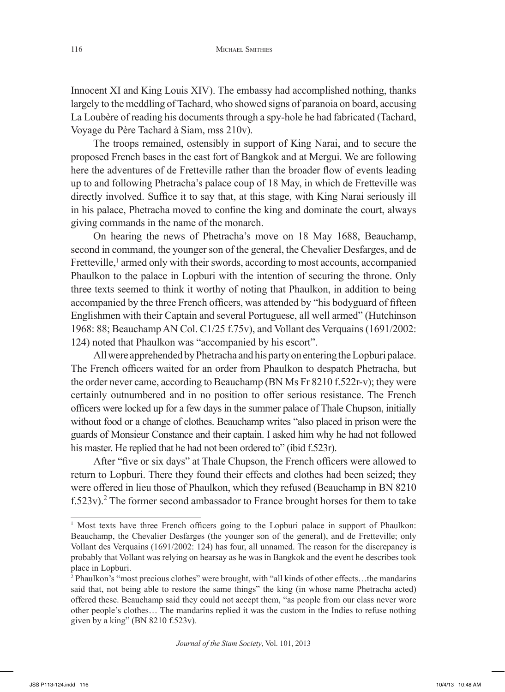Innocent XI and King Louis XIV). The embassy had accomplished nothing, thanks largely to the meddling of Tachard, who showed signs of paranoia on board, accusing La Loubère of reading his documents through a spy-hole he had fabricated (Tachard, Voyage du Père Tachard à Siam, mss 210v).

The troops remained, ostensibly in support of King Narai, and to secure the proposed French bases in the east fort of Bangkok and at Mergui. We are following here the adventures of de Fretteville rather than the broader flow of events leading up to and following Phetracha's palace coup of 18 May, in which de Fretteville was directly involved. Suffice it to say that, at this stage, with King Narai seriously ill in his palace, Phetracha moved to confine the king and dominate the court, always giving commands in the name of the monarch.

On hearing the news of Phetracha's move on 18 May 1688, Beauchamp, second in command, the younger son of the general, the Chevalier Desfarges, and de Fretteville,<sup>1</sup> armed only with their swords, according to most accounts, accompanied Phaulkon to the palace in Lopburi with the intention of securing the throne. Only three texts seemed to think it worthy of noting that Phaulkon, in addition to being accompanied by the three French officers, was attended by "his bodyguard of fifteen Englishmen with their Captain and several Portuguese, all well armed" (Hutchinson 1968: 88; Beauchamp AN Col. C1/25 f.75v), and Vollant des Verquains (1691/2002: 124) noted that Phaulkon was "accompanied by his escort".

All were apprehended by Phetracha and his party on entering the Lopburi palace. The French officers waited for an order from Phaulkon to despatch Phetracha, but the order never came, according to Beauchamp (BN Ms Fr 8210 f.522r-v); they were certainly outnumbered and in no position to offer serious resistance. The French officers were locked up for a few days in the summer palace of Thale Chupson, initially without food or a change of clothes. Beauchamp writes "also placed in prison were the guards of Monsieur Constance and their captain. I asked him why he had not followed his master. He replied that he had not been ordered to" (ibid f.523r).

After "five or six days" at Thale Chupson, the French officers were allowed to return to Lopburi. There they found their effects and clothes had been seized; they were offered in lieu those of Phaulkon, which they refused (Beauchamp in BN 8210 f.523v).<sup>2</sup> The former second ambassador to France brought horses for them to take

<sup>&</sup>lt;sup>1</sup> Most texts have three French officers going to the Lopburi palace in support of Phaulkon: Beauchamp, the Chevalier Desfarges (the younger son of the general), and de Fretteville; only Vollant des Verquains (1691/2002: 124) has four, all unnamed. The reason for the discrepancy is probably that Vollant was relying on hearsay as he was in Bangkok and the event he describes took place in Lopburi.

<sup>2</sup> Phaulkon's "most precious clothes" were brought, with "all kinds of other effects…the mandarins said that, not being able to restore the same things" the king (in whose name Phetracha acted) offered these. Beauchamp said they could not accept them, "as people from our class never wore other people's clothes… The mandarins replied it was the custom in the Indies to refuse nothing given by a king" (BN 8210 f.523v).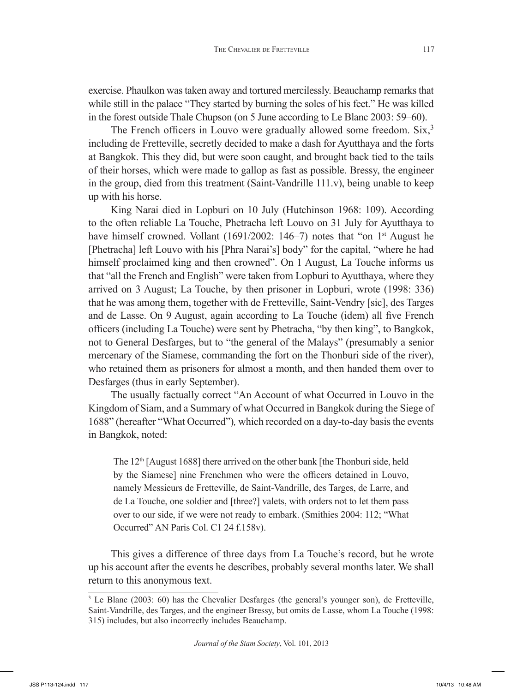exercise. Phaulkon was taken away and tortured mercilessly. Beauchamp remarks that while still in the palace "They started by burning the soles of his feet." He was killed in the forest outside Thale Chupson (on 5 June according to Le Blanc 2003: 59–60).

The French officers in Louvo were gradually allowed some freedom. Six,<sup>3</sup> including de Fretteville, secretly decided to make a dash for Ayutthaya and the forts at Bangkok. This they did, but were soon caught, and brought back tied to the tails of their horses, which were made to gallop as fast as possible. Bressy, the engineer in the group, died from this treatment (Saint-Vandrille 111.v), being unable to keep up with his horse.

King Narai died in Lopburi on 10 July (Hutchinson 1968: 109). According to the often reliable La Touche, Phetracha left Louvo on 31 July for Ayutthaya to have himself crowned. Vollant (1691/2002: 146–7) notes that "on 1<sup>st</sup> August he [Phetracha] left Louvo with his [Phra Narai's] body" for the capital, "where he had himself proclaimed king and then crowned". On 1 August, La Touche informs us that "all the French and English" were taken from Lopburi to Ayutthaya, where they arrived on 3 August; La Touche, by then prisoner in Lopburi, wrote (1998: 336) that he was among them, together with de Fretteville, Saint-Vendry [sic], des Targes and de Lasse. On 9 August, again according to La Touche (idem) all five French officers (including La Touche) were sent by Phetracha, "by then king", to Bangkok, not to General Desfarges, but to "the general of the Malays" (presumably a senior mercenary of the Siamese, commanding the fort on the Thonburi side of the river), who retained them as prisoners for almost a month, and then handed them over to Desfarges (thus in early September).

The usually factually correct "An Account of what Occurred in Louvo in the Kingdom of Siam, and a Summary of what Occurred in Bangkok during the Siege of 1688" (hereafter "What Occurred")*,* which recorded on a day-to-day basis the events in Bangkok, noted:

The  $12<sup>th</sup>$  [August 1688] there arrived on the other bank [the Thonburi side, held by the Siamese] nine Frenchmen who were the officers detained in Louvo, namely Messieurs de Fretteville, de Saint-Vandrille, des Targes, de Larre, and de La Touche, one soldier and [three?] valets, with orders not to let them pass over to our side, if we were not ready to embark. (Smithies 2004: 112; "What Occurred" AN Paris Col. C1 24 f.158v).

This gives a difference of three days from La Touche's record, but he wrote up his account after the events he describes, probably several months later. We shall return to this anonymous text.

<sup>&</sup>lt;sup>3</sup> Le Blanc (2003: 60) has the Chevalier Desfarges (the general's younger son), de Fretteville, Saint-Vandrille, des Targes, and the engineer Bressy, but omits de Lasse, whom La Touche (1998: 315) includes, but also incorrectly includes Beauchamp.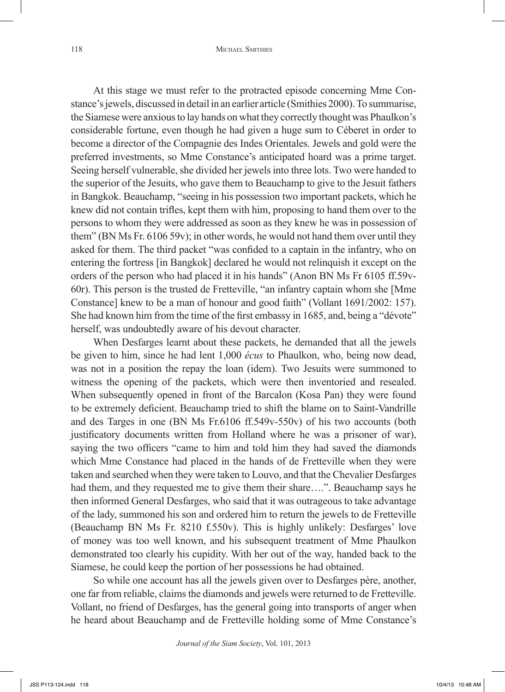At this stage we must refer to the protracted episode concerning Mme Constance's jewels, discussed in detail in an earlier article (Smithies 2000). To summarise, the Siamese were anxious to lay hands on what they correctly thought was Phaulkon's considerable fortune, even though he had given a huge sum to Céberet in order to become a director of the Compagnie des Indes Orientales. Jewels and gold were the preferred investments, so Mme Constance's anticipated hoard was a prime target. Seeing herself vulnerable, she divided her jewels into three lots. Two were handed to the superior of the Jesuits, who gave them to Beauchamp to give to the Jesuit fathers in Bangkok. Beauchamp, "seeing in his possession two important packets, which he knew did not contain trifles, kept them with him, proposing to hand them over to the persons to whom they were addressed as soon as they knew he was in possession of them" (BN Ms Fr. 6106 59v); in other words, he would not hand them over until they asked for them. The third packet "was confided to a captain in the infantry, who on entering the fortress [in Bangkok] declared he would not relinquish it except on the orders of the person who had placed it in his hands" (Anon BN Ms Fr 6105 ff.59v-60r). This person is the trusted de Fretteville, "an infantry captain whom she [Mme Constance] knew to be a man of honour and good faith" (Vollant 1691/2002: 157). She had known him from the time of the first embassy in 1685, and, being a "dévote" herself, was undoubtedly aware of his devout character.

When Desfarges learnt about these packets, he demanded that all the jewels be given to him, since he had lent 1,000 *écus* to Phaulkon, who, being now dead, was not in a position the repay the loan (idem). Two Jesuits were summoned to witness the opening of the packets, which were then inventoried and resealed. When subsequently opened in front of the Barcalon (Kosa Pan) they were found to be extremely deficient. Beauchamp tried to shift the blame on to Saint-Vandrille and des Targes in one (BN Ms Fr.6106 ff.549v-550v) of his two accounts (both justificatory documents written from Holland where he was a prisoner of war), saying the two officers "came to him and told him they had saved the diamonds which Mme Constance had placed in the hands of de Fretteville when they were taken and searched when they were taken to Louvo, and that the Chevalier Desfarges had them, and they requested me to give them their share....". Beauchamp says he then informed General Desfarges, who said that it was outrageous to take advantage of the lady, summoned his son and ordered him to return the jewels to de Fretteville (Beauchamp BN Ms Fr. 8210 f.550v). This is highly unlikely: Desfarges' love of money was too well known, and his subsequent treatment of Mme Phaulkon demonstrated too clearly his cupidity. With her out of the way, handed back to the Siamese, he could keep the portion of her possessions he had obtained.

So while one account has all the jewels given over to Desfarges père, another, one far from reliable, claims the diamonds and jewels were returned to de Fretteville. Vollant, no friend of Desfarges, has the general going into transports of anger when he heard about Beauchamp and de Fretteville holding some of Mme Constance's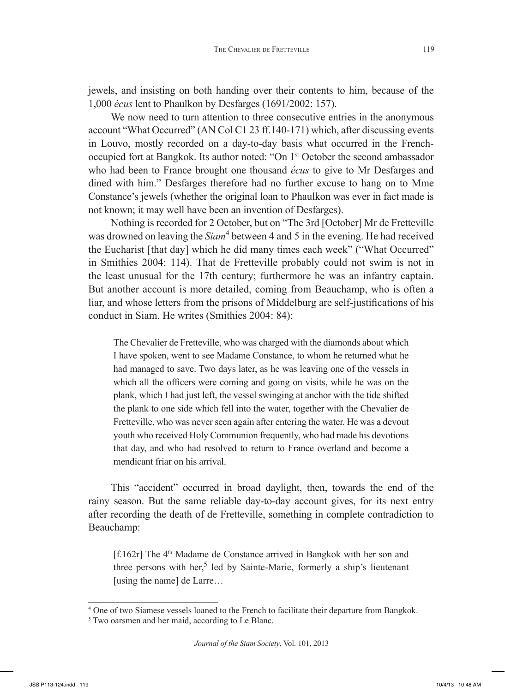jewels, and insisting on both handing over their contents to him, because of the 1,000 *écus* lent to Phaulkon by Desfarges (1691/2002: 157).

We now need to turn attention to three consecutive entries in the anonymous account "What Occurred" (AN Col C1 23 ff.140-171) which, after discussing events in Louvo, mostly recorded on a day-to-day basis what occurred in the Frenchoccupied fort at Bangkok. Its author noted: "On 1st October the second ambassador who had been to France brought one thousand *écus* to give to Mr Desfarges and dined with him." Desfarges therefore had no further excuse to hang on to Mme Constance's jewels (whether the original loan to Phaulkon was ever in fact made is not known; it may well have been an invention of Desfarges).

Nothing is recorded for 2 October, but on "The 3rd [October] Mr de Fretteville was drowned on leaving the *Siam*<sup>4</sup> between 4 and 5 in the evening. He had received the Eucharist [that day] which he did many times each week" ("What Occurred" in Smithies 2004: 114). That de Fretteville probably could not swim is not in the least unusual for the 17th century; furthermore he was an infantry captain. But another account is more detailed, coming from Beauchamp, who is often a liar, and whose letters from the prisons of Middelburg are self-justifications of his conduct in Siam. He writes (Smithies 2004: 84):

The Chevalier de Fretteville, who was charged with the diamonds about which I have spoken, went to see Madame Constance, to whom he returned what he had managed to save. Two days later, as he was leaving one of the vessels in which all the officers were coming and going on visits, while he was on the plank, which I had just left, the vessel swinging at anchor with the tide shifted the plank to one side which fell into the water, together with the Chevalier de Fretteville, who was never seen again after entering the water. He was a devout youth who received Holy Communion frequently, who had made his devotions that day, and who had resolved to return to France overland and become a mendicant friar on his arrival.

This "accident" occurred in broad daylight, then, towards the end of the rainy season. But the same reliable day-to-day account gives, for its next entry after recording the death of de Fretteville, something in complete contradiction to Beauchamp:

[f.162r] The 4<sup>th</sup> Madame de Constance arrived in Bangkok with her son and three persons with her,<sup>5</sup> led by Sainte-Marie, formerly a ship's lieutenant [using the name] de Larre...

<sup>4</sup> One of two Siamese vessels loaned to the French to facilitate their departure from Bangkok.

<sup>5</sup> Two oarsmen and her maid, according to Le Blanc.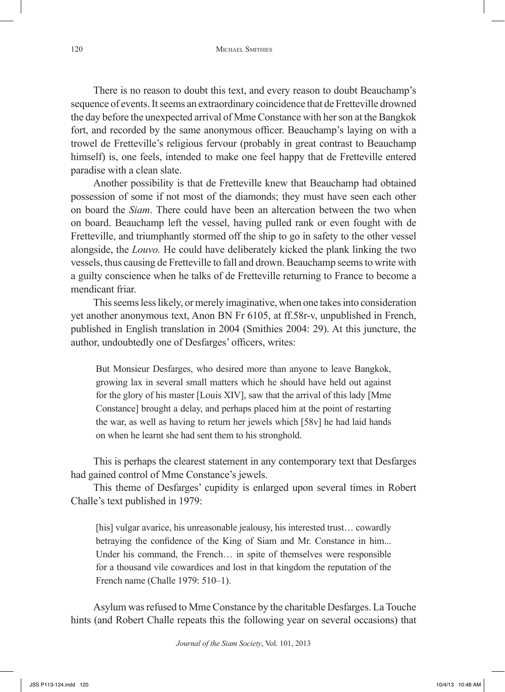There is no reason to doubt this text, and every reason to doubt Beauchamp's sequence of events. It seems an extraordinary coincidence that de Fretteville drowned the day before the unexpected arrival of Mme Constance with her son at the Bangkok fort, and recorded by the same anonymous officer. Beauchamp's laying on with a trowel de Fretteville's religious fervour (probably in great contrast to Beauchamp himself) is, one feels, intended to make one feel happy that de Fretteville entered paradise with a clean slate.

Another possibility is that de Fretteville knew that Beauchamp had obtained possession of some if not most of the diamonds; they must have seen each other on board the *Siam*. There could have been an altercation between the two when on board. Beauchamp left the vessel, having pulled rank or even fought with de Fretteville, and triumphantly stormed off the ship to go in safety to the other vessel alongside, the *Louvo.* He could have deliberately kicked the plank linking the two vessels, thus causing de Fretteville to fall and drown. Beauchamp seems to write with a guilty conscience when he talks of de Fretteville returning to France to become a mendicant friar.

This seems less likely, or merely imaginative, when one takes into consideration yet another anonymous text, Anon BN Fr 6105, at ff.58r-v, unpublished in French, published in English translation in 2004 (Smithies 2004: 29). At this juncture, the author, undoubtedly one of Desfarges' officers, writes:

But Monsieur Desfarges, who desired more than anyone to leave Bangkok, growing lax in several small matters which he should have held out against for the glory of his master [Louis XIV], saw that the arrival of this lady [Mme Constance] brought a delay, and perhaps placed him at the point of restarting the war, as well as having to return her jewels which [58v] he had laid hands on when he learnt she had sent them to his stronghold.

This is perhaps the clearest statement in any contemporary text that Desfarges had gained control of Mme Constance's jewels.

This theme of Desfarges' cupidity is enlarged upon several times in Robert Challe's text published in 1979:

[his] vulgar avarice, his unreasonable jealousy, his interested trust… cowardly betraying the confidence of the King of Siam and Mr. Constance in him... Under his command, the French… in spite of themselves were responsible for a thousand vile cowardices and lost in that kingdom the reputation of the French name (Challe 1979: 510–1).

Asylum was refused to Mme Constance by the charitable Desfarges. La Touche hints (and Robert Challe repeats this the following year on several occasions) that

*Journal of the Siam Society*, Vol. 101, 2013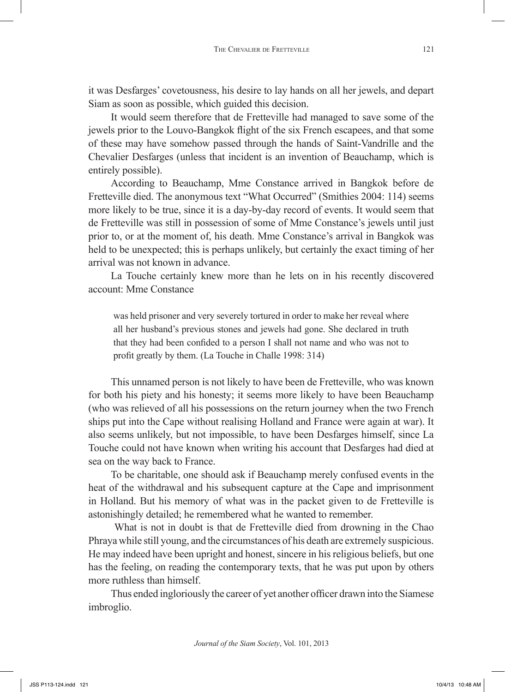it was Desfarges' covetousness, his desire to lay hands on all her jewels, and depart Siam as soon as possible, which guided this decision.

It would seem therefore that de Fretteville had managed to save some of the jewels prior to the Louvo-Bangkok flight of the six French escapees, and that some of these may have somehow passed through the hands of Saint-Vandrille and the Chevalier Desfarges (unless that incident is an invention of Beauchamp, which is entirely possible).

According to Beauchamp, Mme Constance arrived in Bangkok before de Fretteville died. The anonymous text "What Occurred" (Smithies 2004: 114) seems more likely to be true, since it is a day-by-day record of events. It would seem that de Fretteville was still in possession of some of Mme Constance's jewels until just prior to, or at the moment of, his death. Mme Constance's arrival in Bangkok was held to be unexpected; this is perhaps unlikely, but certainly the exact timing of her arrival was not known in advance.

La Touche certainly knew more than he lets on in his recently discovered account: Mme Constance

was held prisoner and very severely tortured in order to make her reveal where all her husband's previous stones and jewels had gone. She declared in truth that they had been confided to a person I shall not name and who was not to profit greatly by them. (La Touche in Challe 1998: 314)

This unnamed person is not likely to have been de Fretteville, who was known for both his piety and his honesty; it seems more likely to have been Beauchamp (who was relieved of all his possessions on the return journey when the two French ships put into the Cape without realising Holland and France were again at war). It also seems unlikely, but not impossible, to have been Desfarges himself, since La Touche could not have known when writing his account that Desfarges had died at sea on the way back to France.

To be charitable, one should ask if Beauchamp merely confused events in the heat of the withdrawal and his subsequent capture at the Cape and imprisonment in Holland. But his memory of what was in the packet given to de Fretteville is astonishingly detailed; he remembered what he wanted to remember.

 What is not in doubt is that de Fretteville died from drowning in the Chao Phraya while still young, and the circumstances of his death are extremely suspicious. He may indeed have been upright and honest, sincere in his religious beliefs, but one has the feeling, on reading the contemporary texts, that he was put upon by others more ruthless than himself.

Thus ended ingloriously the career of yet another officer drawn into the Siamese imbroglio.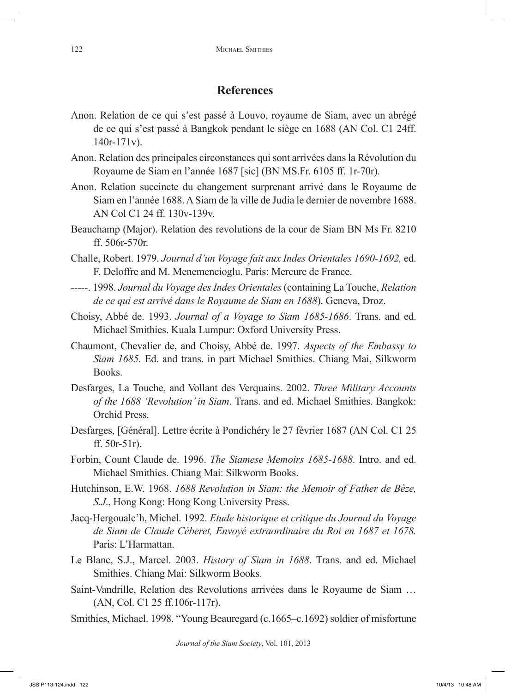## **References**

- Anon. Relation de ce qui s'est passé à Louvo, royaume de Siam, avec un abrégé de ce qui s'est passé à Bangkok pendant le siège en 1688 (AN Col. C1 24ff. 140r-171v).
- Anon. Relation des principales circonstances qui sont arrivées dans la Révolution du Royaume de Siam en l'année 1687 [sic] (BN MS.Fr. 6105 ff. 1r-70r).
- Anon. Relation succincte du changement surprenant arrivé dans le Royaume de Siam en l'année 1688. A Siam de la ville de Judia le dernier de novembre 1688. AN Col C1 24 ff. 130v-139v.
- Beauchamp (Major). Relation des revolutions de la cour de Siam BN Ms Fr. 8210 ff. 506r-570r.
- Challe, Robert. 1979. *Journal d'un Voyage fait aux Indes Orientales 1690-1692,* ed. F. Deloffre and M. Menemencioglu. Paris: Mercure de France.
- -----. 1998. *Journal du Voyage des Indes Orientales* (containing La Touche, *Relation de ce qui est arrivé dans le Royaume de Siam en 1688*). Geneva, Droz.
- Choisy, Abbé de. 1993. *Journal of a Voyage to Siam 1685-1686*. Trans. and ed. Michael Smithies. Kuala Lumpur: Oxford University Press.
- Chaumont, Chevalier de, and Choisy, Abbé de. 1997. *Aspects of the Embassy to Siam 1685*. Ed. and trans. in part Michael Smithies. Chiang Mai, Silkworm Books.
- Desfarges, La Touche, and Vollant des Verquains. 2002. *Three Military Accounts of the 1688 'Revolution' in Siam*. Trans. and ed. Michael Smithies. Bangkok: Orchid Press.
- Desfarges, [Général]. Lettre écrite à Pondichéry le 27 février 1687 (AN Col. C1 25 ff. 50r-51r).
- Forbin, Count Claude de. 1996. *The Siamese Memoirs 1685-1688*. Intro. and ed. Michael Smithies. Chiang Mai: Silkworm Books.
- Hutchinson, E.W. 1968. *1688 Revolution in Siam: the Memoir of Father de Bèze, S.J*., Hong Kong: Hong Kong University Press.
- Jacq-Hergoualc'h, Michel. 1992. *Etude historique et critique du Journal du Voyage de Siam de Claude Céberet, Envoyé extraordinaire du Roi en 1687 et 1678.*  Paris: L'Harmattan.
- Le Blanc, S.J., Marcel. 2003. *History of Siam in 1688*. Trans. and ed. Michael Smithies. Chiang Mai: Silkworm Books.
- Saint-Vandrille, Relation des Revolutions arrivées dans le Royaume de Siam … (AN, Col. C1 25 ff.106r-117r).
- Smithies, Michael. 1998. "Young Beauregard (c.1665–c.1692) soldier of misfortune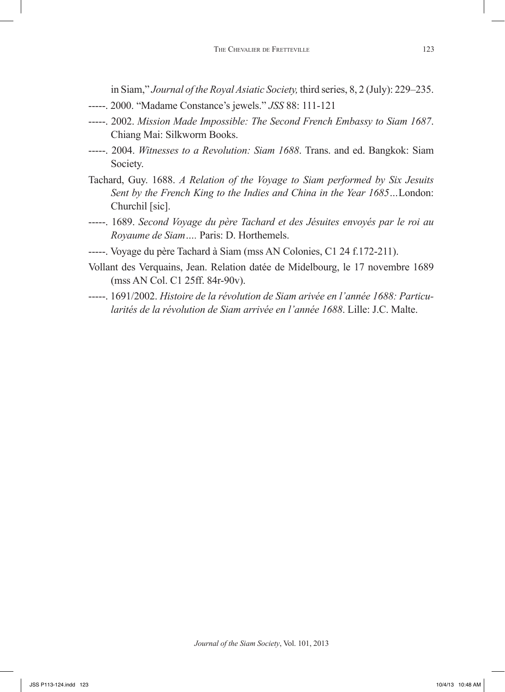in Siam," *Journal of the Royal Asiatic Society,* third series, 8, 2 (July): 229–235.

- -----. 2000. "Madame Constance's jewels." *JSS* 88: 111-121
- -----. 2002. *Mission Made Impossible: The Second French Embassy to Siam 1687*. Chiang Mai: Silkworm Books.
- -----. 2004. *Witnesses to a Revolution: Siam 1688*. Trans. and ed. Bangkok: Siam Society.
- Tachard, Guy. 1688. *A Relation of the Voyage to Siam performed by Six Jesuits Sent by the French King to the Indies and China in the Year 1685…*London: Churchil [sic].
- -----. 1689. *Second Voyage du père Tachard et des Jésuites envoyés par le roi au Royaume de Siam….* Paris: D. Horthemels.
- -----. Voyage du père Tachard à Siam (mss AN Colonies, C1 24 f.172-211).
- Vollant des Verquains, Jean. Relation datée de Midelbourg, le 17 novembre 1689 (mss AN Col. C1 25ff. 84r-90v).
- -----. 1691/2002. *Histoire de la révolution de Siam arivée en l'année 1688: Particularités de la révolution de Siam arrivée en l'année 1688*. Lille: J.C. Malte.